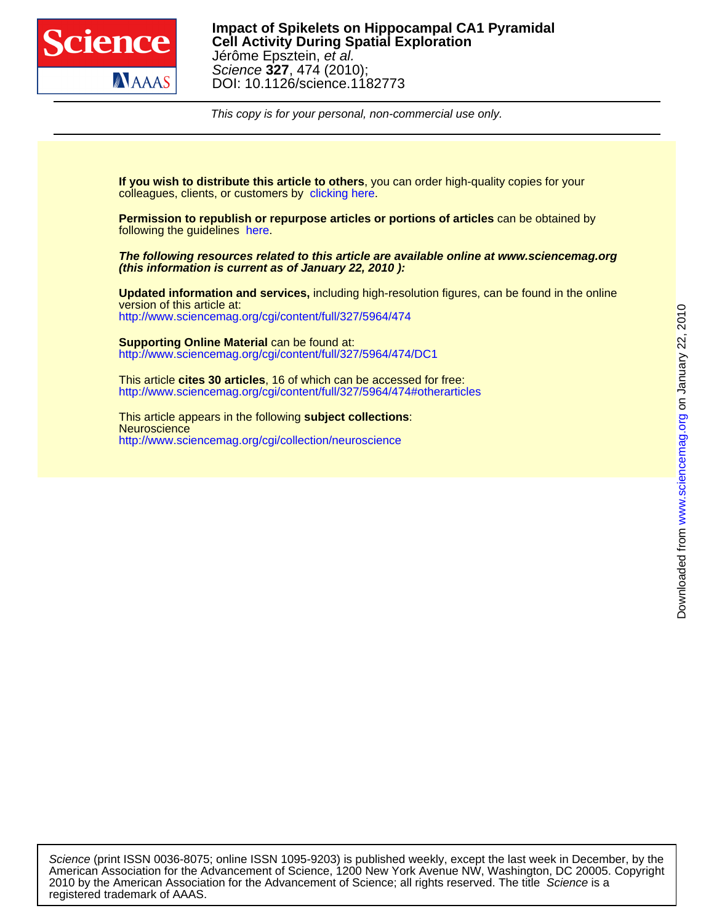

DOI: 10.1126/science.1182773 Science **327**, 474 (2010); Jérôme Epsztein, et al. **Cell Activity During Spatial Exploration Impact of Spikelets on Hippocampal CA1 Pyramidal**

This copy is for your personal, non-commercial use only.

colleagues, clients, or customers by [clicking here.](http://www.sciencemag.org/about/permissions.dtl) **If you wish to distribute this article to others**, you can order high-quality copies for your

following the guidelines [here.](http://www.sciencemag.org/help/about/permissions.dtl) **Permission to republish or repurpose articles or portions of articles** can be obtained by

**(this information is current as of January 22, 2010 ): The following resources related to this article are available online at www.sciencemag.org**

<http://www.sciencemag.org/cgi/content/full/327/5964/474> version of this article at: **Updated information and services,** including high-resolution figures, can be found in the online

<http://www.sciencemag.org/cgi/content/full/327/5964/474/DC1> **Supporting Online Material** can be found at:

<http://www.sciencemag.org/cgi/content/full/327/5964/474#otherarticles> This article **cites 30 articles**, 16 of which can be accessed for free:

<http://www.sciencemag.org/cgi/collection/neuroscience> **Neuroscience** This article appears in the following **subject collections**:

registered trademark of AAAS. 2010 by the American Association for the Advancement of Science; all rights reserved. The title Science is a American Association for the Advancement of Science, 1200 New York Avenue NW, Washington, DC 20005. Copyright Science (print ISSN 0036-8075; online ISSN 1095-9203) is published weekly, except the last week in December, by the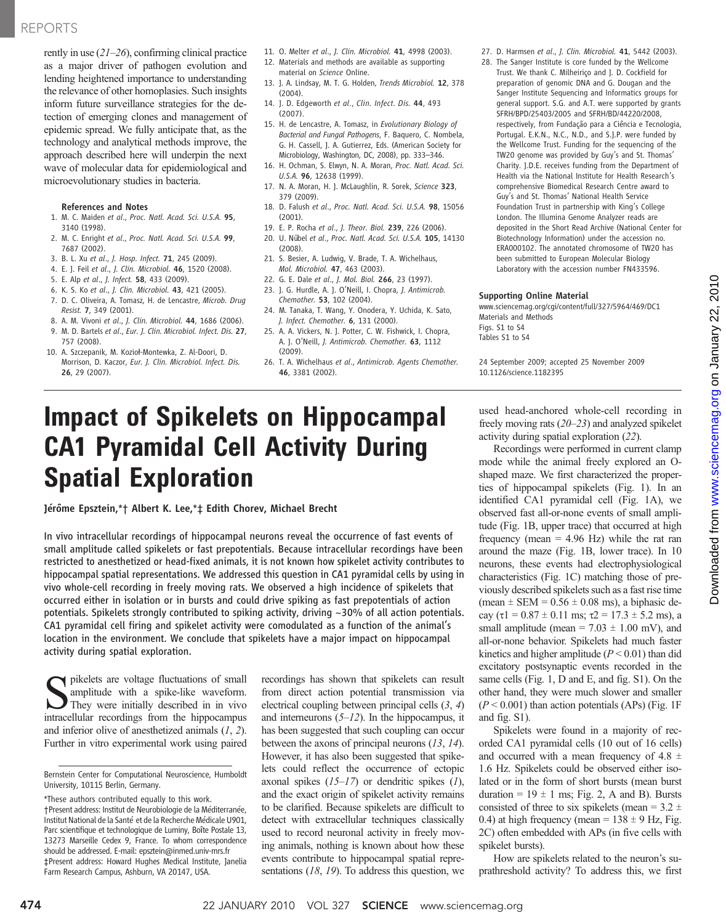## REPORTS

rently in use  $(21–26)$ , confirming clinical practice as a major driver of pathogen evolution and lending heightened importance to understanding the relevance of other homoplasies. Such insights inform future surveillance strategies for the detection of emerging clones and management of epidemic spread. We fully anticipate that, as the technology and analytical methods improve, the approach described here will underpin the next wave of molecular data for epidemiological and microevolutionary studies in bacteria.

### References and Notes

- 1. M. C. Maiden et al., Proc. Natl. Acad. Sci. U.S.A. 95, 3140 (1998).
- 2. M. C. Enright et al., Proc. Natl. Acad. Sci. U.S.A. 99, 7687 (2002).
- 3. B. L. Xu et al., J. Hosp. Infect. 71, 245 (2009).
- 4. E. J. Feil et al., J. Clin. Microbiol. 46, 1520 (2008).
- 5. E. Alp et al., J. Infect. 58, 433 (2009).
- 6. K. S. Ko et al., J. Clin. Microbiol. 43, 421 (2005).
- 7. D. C. Oliveira, A. Tomasz, H. de Lencastre, Microb. Drug Resist. 7, 349 (2001).
- 8. A. M. Vivoni et al., J. Clin. Microbiol. 44, 1686 (2006).
- 9. M. D. Bartels et al., Eur. J. Clin. Microbiol. Infect. Dis. 27, 757 (2008).
- 10. A. Szczepanik, M. Kozioł-Montewka, Z. Al-Doori, D. Morrison, D. Kaczor, Eur. J. Clin. Microbiol. Infect. Dis. 26, 29 (2007).
- 11. O. Melter et al., J. Clin. Microbiol. 41, 4998 (2003).
- 12. Materials and methods are available as supporting material on Science Online.
- 13. J. A. Lindsay, M. T. G. Holden, Trends Microbiol. 12, 378 (2004).
- 14. J. D. Edgeworth et al., Clin. Infect. Dis. 44, 493 (2007).
- 15. H. de Lencastre, A. Tomasz, in Evolutionary Biology of Bacterial and Fungal Pathogens, F. Baquero, C. Nombela, G. H. Cassell, J. A. Gutierrez, Eds. (American Society for Microbiology, Washington, DC, 2008), pp. 333–346.
- 16. H. Ochman, S. Elwyn, N. A. Moran, Proc. Natl. Acad. Sci. U.S.A. 96, 12638 (1999).
- 17. N. A. Moran, H. J. McLaughlin, R. Sorek, Science 323, 379 (2009).
- 18. D. Falush et al., Proc. Natl. Acad. Sci. U.S.A. 98, 15056 (2001).
- 19. E. P. Rocha et al., J. Theor. Biol. 239, 226 (2006).
- 20. U. Nübel et al., Proc. Natl. Acad. Sci. U.S.A. 105, 14130 (2008).
- 21. S. Besier, A. Ludwig, V. Brade, T. A. Wichelhaus, Mol. Microbiol. 47, 463 (2003).
- 22. G. E. Dale et al., J. Mol. Biol. 266, 23 (1997). 23. J. G. Hurdle, A. J. O'Neill, I. Chopra, J. Antimicrob.
- Chemother. 53, 102 (2004).
- 24. M. Tanaka, T. Wang, Y. Onodera, Y. Uchida, K. Sato, J. Infect. Chemother. 6, 131 (2000).
- 25. A. A. Vickers, N. J. Potter, C. W. Fishwick, I. Chopra, A. J. O'Neill, J. Antimicrob. Chemother. 63, 1112 (2009).
- 26. T. A. Wichelhaus et al., Antimicrob. Agents Chemother. 46, 3381 (2002).
- 27. D. Harmsen et al., J. Clin. Microbiol. 41, 5442 (2003).
- 28. The Sanger Institute is core funded by the Wellcome Trust. We thank C. Milheiriço and J. D. Cockfield for preparation of genomic DNA and G. Dougan and the Sanger Institute Sequencing and Informatics groups for general support. S.G. and A.T. were supported by grants SFRH/BPD/25403/2005 and SFRH/BD/44220/2008, respectively, from Fundação para a Ciência e Tecnologia, Portugal. E.K.N., N.C., N.D., and S.J.P. were funded by the Wellcome Trust. Funding for the sequencing of the TW20 genome was provided by Guy's and St. Thomas' Charity. J.D.E. receives funding from the Department of Health via the National Institute for Health Research's comprehensive Biomedical Research Centre award to Guy's and St. Thomas' National Health Service Foundation Trust in partnership with King's College London. The Illumina Genome Analyzer reads are deposited in the Short Read Archive (National Center for Biotechnology Information) under the accession no. ERA000102. The annotated chromosome of TW20 has been submitted to European Molecular Biology Laboratory with the accession number FN433596.

### Supporting Online Material

www.sciencemag.org/cgi/content/full/327/5964/469/DC1 Materials and Methods Figs. S1 to S4 Tables S1 to S4

24 September 2009; accepted 25 November 2009 10.1126/science.1182395

# Impact of Spikelets on Hippocampal CA1 Pyramidal Cell Activity During Spatial Exploration

Jérôme Epsztein,\*† Albert K. Lee,\*‡ Edith Chorev, Michael Brecht

In vivo intracellular recordings of hippocampal neurons reveal the occurrence of fast events of small amplitude called spikelets or fast prepotentials. Because intracellular recordings have been restricted to anesthetized or head-fixed animals, it is not known how spikelet activity contributes to hippocampal spatial representations. We addressed this question in CA1 pyramidal cells by using in vivo whole-cell recording in freely moving rats. We observed a high incidence of spikelets that occurred either in isolation or in bursts and could drive spiking as fast prepotentials of action potentials. Spikelets strongly contributed to spiking activity, driving ~30% of all action potentials. CA1 pyramidal cell firing and spikelet activity were comodulated as a function of the animal's location in the environment. We conclude that spikelets have a major impact on hippocampal activity during spatial exploration.

In pikelets are voltage fluctuations of small amplitude with a spike-like waveform. They were initially described in in vivo intracellular recordings from the hippocampus and inferior olive of anesthetized animals  $(1, 2)$ . Further in vitro experimental work using paired recordings has shown that spikelets can result from direct action potential transmission via electrical coupling between principal cells (3, 4) and interneurons  $(5-12)$ . In the hippocampus, it has been suggested that such coupling can occur between the axons of principal neurons (13, 14). However, it has also been suggested that spikelets could reflect the occurrence of ectopic axonal spikes  $(15-17)$  or dendritic spikes  $(1)$ , and the exact origin of spikelet activity remains to be clarified. Because spikelets are difficult to detect with extracellular techniques classically used to record neuronal activity in freely moving animals, nothing is known about how these events contribute to hippocampal spatial representations  $(18, 19)$ . To address this question, we

used head-anchored whole-cell recording in freely moving rats (20–23) and analyzed spikelet activity during spatial exploration (22).

Recordings were performed in current clamp mode while the animal freely explored an Oshaped maze. We first characterized the properties of hippocampal spikelets (Fig. 1). In an identified CA1 pyramidal cell (Fig. 1A), we observed fast all-or-none events of small amplitude (Fig. 1B, upper trace) that occurred at high frequency (mean  $= 4.96$  Hz) while the rat ran around the maze (Fig. 1B, lower trace). In 10 neurons, these events had electrophysiological characteristics (Fig. 1C) matching those of previously described spikelets such as a fast rise time (mean  $\pm$  SEM = 0.56  $\pm$  0.08 ms), a biphasic decay ( $\tau$ 1 = 0.87 ± 0.11 ms;  $\tau$ 2 = 17.3 ± 5.2 ms), a small amplitude (mean =  $7.03 \pm 1.00$  mV), and all-or-none behavior. Spikelets had much faster kinetics and higher amplitude ( $P < 0.01$ ) than did excitatory postsynaptic events recorded in the same cells (Fig. 1, D and E, and fig. S1). On the other hand, they were much slower and smaller  $(P < 0.001)$  than action potentials (APs) (Fig. 1F) and fig. S1).

Spikelets were found in a majority of recorded CA1 pyramidal cells (10 out of 16 cells) and occurred with a mean frequency of 4.8  $\pm$ 1.6 Hz. Spikelets could be observed either isolated or in the form of short bursts (mean burst duration =  $19 \pm 1$  ms; Fig. 2, A and B). Bursts consisted of three to six spikelets (mean =  $3.2 \pm$ 0.4) at high frequency (mean =  $138 \pm 9$  Hz, Fig. 2C) often embedded with APs (in five cells with spikelet bursts).

How are spikelets related to the neuron's suprathreshold activity? To address this, we first

Bernstein Center for Computational Neuroscience, Humboldt University, 10115 Berlin, Germany.

<sup>\*</sup>These authors contributed equally to this work. †Present address: Institut de Neurobiologie de la Méditerranée, Institut National de la Santé et de la Recherche Médicale U901, Parc scientifique et technologique de Luminy, Boîte Postale 13, 13273 Marseille Cedex 9, France. To whom correspondence should be addressed. E-mail: epsztein@inmed.univ-mrs.fr ‡Present address: Howard Hughes Medical Institute, Janelia Farm Research Campus, Ashburn, VA 20147, USA.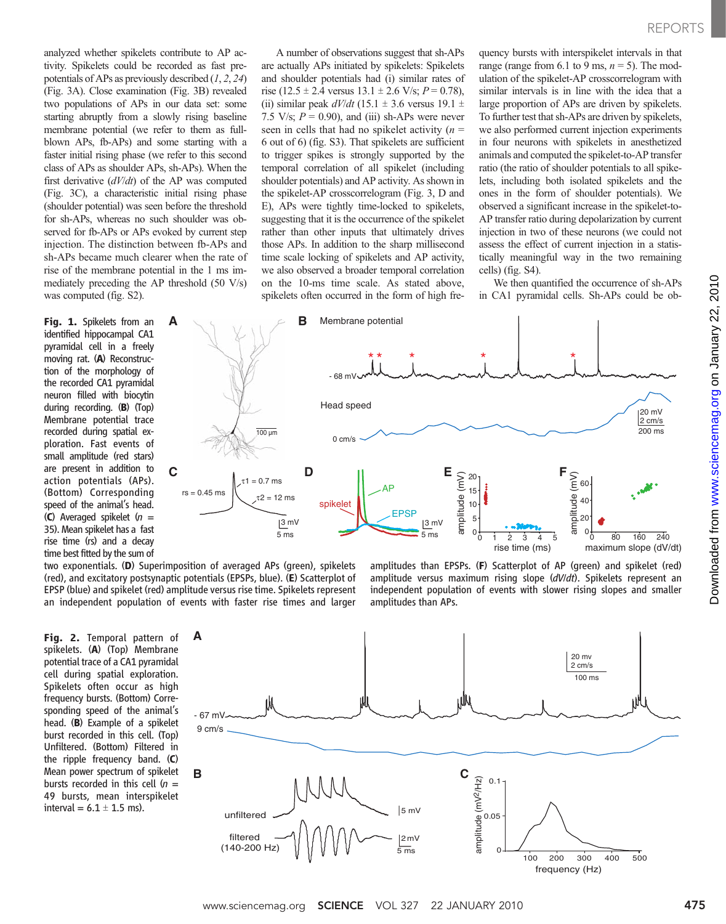analyzed whether spikelets contribute to AP activity. Spikelets could be recorded as fast prepotentials of APs as previously described  $(1, 2, 24)$ (Fig. 3A). Close examination (Fig. 3B) revealed two populations of APs in our data set: some starting abruptly from a slowly rising baseline membrane potential (we refer to them as fullblown APs, fb-APs) and some starting with a faster initial rising phase (we refer to this second class of APs as shoulder APs, sh-APs). When the first derivative  $(dV/dt)$  of the AP was computed (Fig. 3C), a characteristic initial rising phase (shoulder potential) was seen before the threshold for sh-APs, whereas no such shoulder was observed for fb-APs or APs evoked by current step injection. The distinction between fb-APs and sh-APs became much clearer when the rate of rise of the membrane potential in the 1 ms immediately preceding the AP threshold (50 V/s) was computed (fig. S2).

Fig. 1. Spikelets from an identified hippocampal CA1 pyramidal cell in a freely moving rat. (A) Reconstruction of the morphology of the recorded CA1 pyramidal neuron filled with biocytin during recording. (B) (Top) Membrane potential trace recorded during spatial exploration. Fast events of small amplitude (red stars) are present in addition to action potentials (APs). (Bottom) Corresponding speed of the animal's head. (C) Averaged spikelet  $(n =$ 35). Mean spikelet has a fast rise time (rs) and a decay time best fitted by the sum of

A number of observations suggest that sh-APs are actually APs initiated by spikelets: Spikelets and shoulder potentials had (i) similar rates of rise (12.5  $\pm$  2.4 versus 13.1  $\pm$  2.6 V/s; P = 0.78), (ii) similar peak  $dV/dt$  (15.1  $\pm$  3.6 versus 19.1  $\pm$ 7.5 V/s;  $P = 0.90$ ), and (iii) sh-APs were never seen in cells that had no spikelet activity  $(n =$ 6 out of 6) (fig. S3). That spikelets are sufficient to trigger spikes is strongly supported by the temporal correlation of all spikelet (including shoulder potentials) and AP activity. As shown in the spikelet-AP crosscorrelogram (Fig. 3, D and E), APs were tightly time-locked to spikelets, suggesting that it is the occurrence of the spikelet rather than other inputs that ultimately drives those APs. In addition to the sharp millisecond time scale locking of spikelets and AP activity, we also observed a broader temporal correlation on the 10-ms time scale. As stated above, spikelets often occurred in the form of high fre-

quency bursts with interspikelet intervals in that range (range from 6.1 to 9 ms,  $n = 5$ ). The modulation of the spikelet-AP crosscorrelogram with similar intervals is in line with the idea that a large proportion of APs are driven by spikelets. To further test that sh-APs are driven by spikelets, we also performed current injection experiments in four neurons with spikelets in anesthetized animals and computed the spikelet-to-AP transfer ratio (the ratio of shoulder potentials to all spikelets, including both isolated spikelets and the ones in the form of shoulder potentials). We observed a significant increase in the spikelet-to-AP transfer ratio during depolarization by current injection in two of these neurons (we could not assess the effect of current injection in a statistically meaningful way in the two remaining cells) (fig. S4).

We then quantified the occurrence of sh-APs in CA1 pyramidal cells. Sh-APs could be ob-



two exponentials. (D) Superimposition of averaged APs (green), spikelets (red), and excitatory postsynaptic potentials (EPSPs, blue). (E) Scatterplot of EPSP (blue) and spikelet (red) amplitude versus rise time. Spikelets represent an independent population of events with faster rise times and larger

Fig. 2. Temporal pattern of spikelets. (A) (Top) Membrane potential trace of a CA1 pyramidal cell during spatial exploration. Spikelets often occur as high frequency bursts. (Bottom) Corresponding speed of the animal's head. (B) Example of a spikelet burst recorded in this cell. (Top) Unfiltered. (Bottom) Filtered in the ripple frequency band. (C) Mean power spectrum of spikelet bursts recorded in this cell  $(n =$ 49 bursts, mean interspikelet interval =  $6.1 \pm 1.5$  ms).

amplitudes than EPSPs. (F) Scatterplot of AP (green) and spikelet (red) amplitude versus maximum rising slope (dV/dt). Spikelets represent an independent population of events with slower rising slopes and smaller amplitudes than APs.

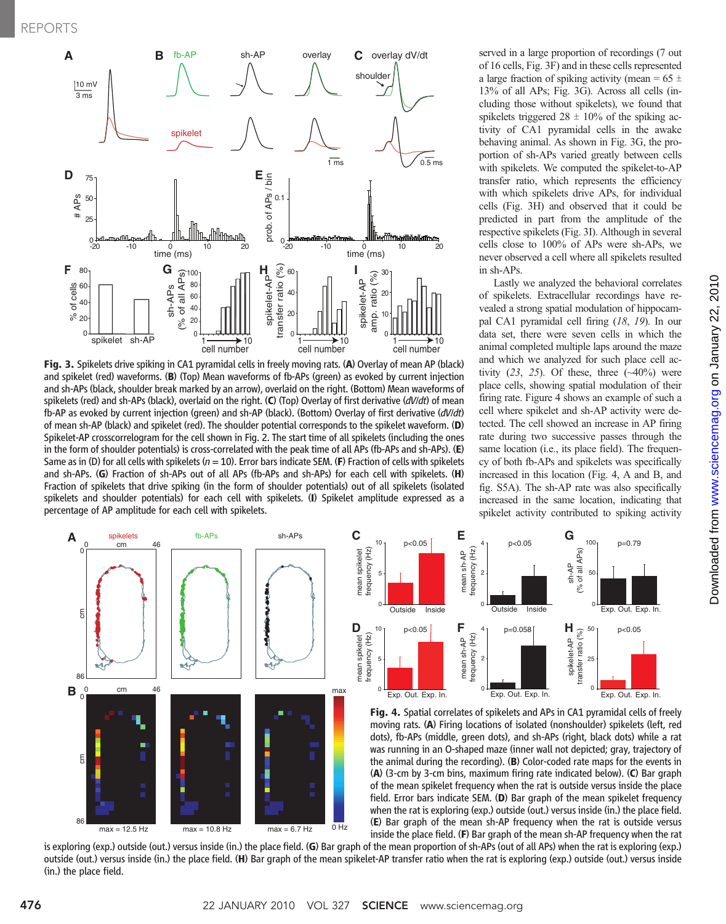

Fig. 3. Spikelets drive spiking in CA1 pyramidal cells in freely moving rats. (A) Overlay of mean AP (black) and spikelet (red) waveforms. (B) (Top) Mean waveforms of fb-APs (green) as evoked by current injection and sh-APs (black, shoulder break marked by an arrow), overlaid on the right. (Bottom) Mean waveforms of spikelets (red) and sh-APs (black), overlaid on the right. (C) (Top) Overlay of first derivative ( $dV/dt$ ) of mean fb-AP as evoked by current injection (green) and sh-AP (black). (Bottom) Overlay of first derivative (dV/dt) of mean sh-AP (black) and spikelet (red). The shoulder potential corresponds to the spikelet waveform. (D) Spikelet-AP crosscorrelogram for the cell shown in Fig. 2. The start time of all spikelets (including the ones in the form of shoulder potentials) is cross-correlated with the peak time of all APs (fb-APs and sh-APs). (E) Same as in (D) for all cells with spikelets ( $n = 10$ ). Error bars indicate SEM. (F) Fraction of cells with spikelets and sh-APs. (G) Fraction of sh-APs out of all APs (fb-APs and sh-APs) for each cell with spikelets. (H) Fraction of spikelets that drive spiking (in the form of shoulder potentials) out of all spikelets (isolated spikelets and shoulder potentials) for each cell with spikelets. (I) Spikelet amplitude expressed as a percentage of AP amplitude for each cell with spikelets.

served in a large proportion of recordings (7 out of 16 cells, Fig. 3F) and in these cells represented a large fraction of spiking activity (mean =  $65 \pm$ 13% of all APs; Fig. 3G). Across all cells (including those without spikelets), we found that spikelets triggered  $28 \pm 10\%$  of the spiking activity of CA1 pyramidal cells in the awake behaving animal. As shown in Fig. 3G, the proportion of sh-APs varied greatly between cells with spikelets. We computed the spikelet-to-AP transfer ratio, which represents the efficiency with which spikelets drive APs, for individual cells (Fig. 3H) and observed that it could be predicted in part from the amplitude of the respective spikelets (Fig. 3I). Although in several cells close to 100% of APs were sh-APs, we never observed a cell where all spikelets resulted in sh-APs.

Lastly we analyzed the behavioral correlates of spikelets. Extracellular recordings have revealed a strong spatial modulation of hippocampal CA1 pyramidal cell firing (18, 19). In our data set, there were seven cells in which the animal completed multiple laps around the maze and which we analyzed for such place cell activity  $(23, 25)$ . Of these, three  $(-40\%)$  were place cells, showing spatial modulation of their firing rate. Figure 4 shows an example of such a cell where spikelet and sh-AP activity were detected. The cell showed an increase in AP firing rate during two successive passes through the same location (i.e., its place field). The frequency of both fb-APs and spikelets was specifically increased in this location (Fig. 4, A and B, and fig. S5A). The sh-AP rate was also specifically increased in the same location, indicating that spikelet activity contributed to spiking activity







Fig. 4. Spatial correlates of spikelets and APs in CA1 pyramidal cells of freely moving rats. (A) Firing locations of isolated (nonshoulder) spikelets (left, red dots), fb-APs (middle, green dots), and sh-APs (right, black dots) while a rat was running in an O-shaped maze (inner wall not depicted; gray, trajectory of the animal during the recording). (B) Color-coded rate maps for the events in (A) (3-cm by 3-cm bins, maximum firing rate indicated below). (C) Bar graph of the mean spikelet frequency when the rat is outside versus inside the place field. Error bars indicate SEM. (D) Bar graph of the mean spikelet frequency when the rat is exploring (exp.) outside (out.) versus inside (in.) the place field. (E) Bar graph of the mean sh-AP frequency when the rat is outside versus inside the place field. (F) Bar graph of the mean sh-AP frequency when the rat

is exploring (exp.) outside (out.) versus inside (in.) the place field. (G) Bar graph of the mean proportion of sh-APs (out of all APs) when the rat is exploring (exp.) outside (out.) versus inside (in.) the place field. (H) Bar graph of the mean spikelet-AP transfer ratio when the rat is exploring (exp.) outside (out.) versus inside (in.) the place field.